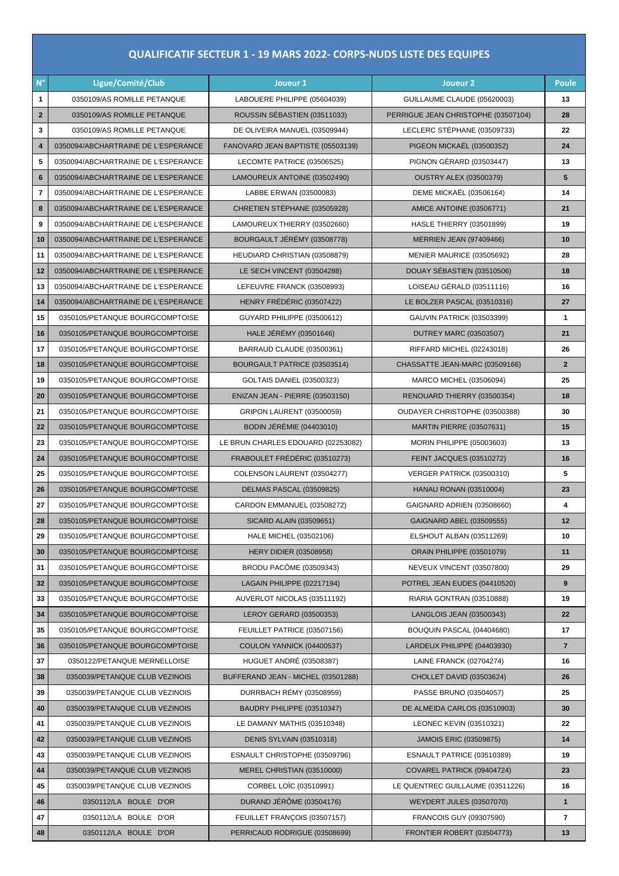## **QUALIFICATIF SECTEUR 1 - 19 MARS 2022- CORPS-NUDS LISTE DES EQUIPES**

| $N^{\circ}$              | Ligue/Comité/Club                   | Joueur 1                               | Joueur <sub>2</sub>                 | Poule                    |
|--------------------------|-------------------------------------|----------------------------------------|-------------------------------------|--------------------------|
| 1                        | 0350109/AS ROMILLE PETANQUE         | LABOUERE PHILIPPE (05604039)           | GUILLAUME CLAUDE (05620003)         | 13                       |
| $\mathbf{2}$             | 0350109/AS ROMILLE PETANQUE         | ROUSSIN SÉBASTIEN (03511033)           | PERRIGUE JEAN CHRISTOPHE (03507104) | 28                       |
| 3                        | 0350109/AS ROMILLE PETANQUE         | DE OLIVEIRA MANUEL (03509944)          | LECLERC STÉPHANE (03509733)         | 22                       |
| 4                        | 0350094/ABCHARTRAINE DE L'ESPERANCE | FANOVARD JEAN BAPTISTE (05503139)      | PIGEON MICKAEL (03500352)           | 24                       |
| 5                        | 0350094/ABCHARTRAINE DE L'ESPERANCE | LECOMTE PATRICE (03506525)             | PIGNON GÉRARD (03503447)            | 13                       |
| 6                        | 0350094/ABCHARTRAINE DE L'ESPERANCE | LAMOUREUX ANTOINE (03502490)           | <b>OUSTRY ALEX (03500379)</b>       | 5                        |
| $\overline{\phantom{a}}$ | 0350094/ABCHARTRAINE DE L'ESPERANCE | LABBE ERWAN (03500083)                 | <b>DEME MICKAËL (03506164)</b>      | 14                       |
| 8                        | 0350094/ABCHARTRAINE DE L'ESPERANCE | CHRETIEN STÉPHANE (03505928)           | <b>AMICE ANTOINE (03506771)</b>     | 21                       |
| 9                        | 0350094/ABCHARTRAINE DE L'ESPERANCE | LAMOUREUX THIERRY (03502660)           | HASLE THIERRY (03501899)            | 19                       |
| 10                       | 0350094/ABCHARTRAINE DE L'ESPERANCE | BOURGAULT JÉRÉMY (03508778)            | <b>MERRIEN JEAN (97409466)</b>      | 10                       |
| 11                       | 0350094/ABCHARTRAINE DE L'ESPERANCE | HEUDIARD CHRISTIAN (03508879)          | MENIER MAURICE (03505692)           | 28                       |
| 12                       | 0350094/ABCHARTRAINE DE L'ESPERANCE | LE SECH VINCENT (03504288)             | DOUAY SÉBASTIEN (03510506)          | 18                       |
| 13                       | 0350094/ABCHARTRAINE DE L'ESPERANCE | LEFEUVRE FRANCK (03508993)             | LOISEAU GÉRALD (03511116)           | 16                       |
| 14                       | 0350094/ABCHARTRAINE DE L'ESPERANCE | HENRY FRÉDÉRIC (03507422)              | LE BOLZER PASCAL (03510316)         | 27                       |
| 15                       | 0350105/PETANQUE BOURGCOMPTOISE     | GUYARD PHILIPPE (03500612)             | <b>GAUVIN PATRICK (03503399)</b>    | 1                        |
| 16                       | 0350105/PETANQUE BOURGCOMPTOISE     | HALE JÉRÉMY (03501646)                 | <b>DUTREY MARC (03503507)</b>       | 21                       |
| 17                       | 0350105/PETANQUE BOURGCOMPTOISE     | BARRAUD CLAUDE (03500361)              | RIFFARD MICHEL (02243018)           | 26                       |
| 18                       | 0350105/PETANQUE BOURGCOMPTOISE     | BOURGAULT PATRICE (03503514)           | CHASSATTE JEAN-MARC (03509166)      | $\overline{2}$           |
| 19                       | 0350105/PETANQUE BOURGCOMPTOISE     | <b>GOLTAIS DANIEL (03500323)</b>       | MARCO MICHEL (03506094)             | 25                       |
| 20                       | 0350105/PETANQUE BOURGCOMPTOISE     | <b>ENIZAN JEAN - PIERRE (03503150)</b> | RENOUARD THIERRY (03500354)         | 18                       |
| 21                       | 0350105/PETANQUE BOURGCOMPTOISE     | <b>GRIPON LAURENT (03500059)</b>       | OUDAYER CHRISTOPHE (03500388)       | 30                       |
| 22                       | 0350105/PETANQUE BOURGCOMPTOISE     | <b>BODIN JÉRÉMIE (04403010)</b>        | <b>MARTIN PIERRE (03507631)</b>     | 15                       |
| 23                       | 0350105/PETANQUE BOURGCOMPTOISE     | LE BRUN CHARLES EDOUARD (02253082)     | <b>MORIN PHILIPPE (05003603)</b>    | 13                       |
| 24                       | 0350105/PETANQUE BOURGCOMPTOISE     | FRABOULET FRÉDÉRIC (03510273)          | <b>FEINT JACQUES (03510272)</b>     | 16                       |
| 25                       | 0350105/PETANQUE BOURGCOMPTOISE     | COLENSON LAURENT (03504277)            | VERGER PATRICK (03500310)           | 5                        |
| 26                       | 0350105/PETANQUE BOURGCOMPTOISE     | DELMAS PASCAL (03509825)               | <b>HANAU RONAN (03510004)</b>       | 23                       |
| 27                       | 0350105/PETANQUE BOURGCOMPTOISE     | CARDON EMMANUEL (03508272)             | GAIGNARD ADRIEN (03508660)          | 4                        |
| 28                       | 0350105/PETANQUE BOURGCOMPTOISE     | SICARD ALAIN (03509651)                | GAIGNARD ABEL (03509555)            | 12                       |
| 29                       | 0350105/PETANQUE BOURGCOMPTOISE     | HALE MICHEL (03502106)                 | ELSHOUT ALBAN (03511269)            | 10                       |
| 30                       | 0350105/PETANQUE BOURGCOMPTOISE     | <b>HERY DIDIER (03508958)</b>          | <b>ORAIN PHILIPPE (03501079)</b>    | 11                       |
| 31                       | 0350105/PETANQUE BOURGCOMPTOISE     | <b>BRODU PACÔME (03509343)</b>         | NEVEUX VINCENT (03507800)           | 29                       |
| 32                       | 0350105/PETANQUE BOURGCOMPTOISE     | LAGAIN PHILIPPE (02217194)             | POTREL JEAN EUDES (04410520)        | 9                        |
| 33                       | 0350105/PETANQUE BOURGCOMPTOISE     | AUVERLOT NICOLAS (03511192)            | RIARIA GONTRAN (03510888)           | 19                       |
| 34                       | 0350105/PETANQUE BOURGCOMPTOISE     | LEROY GERARD (03500353)                | LANGLOIS JEAN (03500343)            | 22                       |
| 35                       | 0350105/PETANQUE BOURGCOMPTOISE     | FEUILLET PATRICE (03507156)            | BOUQUIN PASCAL (04404680)           | 17                       |
| 36                       | 0350105/PETANQUE BOURGCOMPTOISE     | COULON YANNICK (04400537)              | LARDEUX PHILIPPE (04403930)         | $\overline{7}$           |
| 37                       | 0350122/PETANQUE MERNELLOISE        | HUGUET ANDRÉ (03508387)                | LAINE FRANCK (02704274)             | 16                       |
| 38                       | 0350039/PETANQUE CLUB VEZINOIS      | BUFFERAND JEAN - MICHEL (03501288)     | CHOLLET DAVID (03503624)            | 26                       |
| 39                       | 0350039/PETANQUE CLUB VEZINOIS      | DURRBACH RÉMY (03508959)               | PASSE BRUNO (03504057)              | 25                       |
| 40                       | 0350039/PETANQUE CLUB VEZINOIS      | BAUDRY PHILIPPE (03510347)             | DE ALMEIDA CARLOS (03510903)        | 30                       |
| 41                       | 0350039/PETANQUE CLUB VEZINOIS      | LE DAMANY MATHIS (03510348)            | LEONEC KEVIN (03510321)             | 22                       |
| 42                       | 0350039/PETANQUE CLUB VEZINOIS      | <b>DENIS SYLVAIN (03510318)</b>        | <b>JAMOIS ERIC (03509875)</b>       | 14                       |
| 43                       | 0350039/PETANQUE CLUB VEZINOIS      | ESNAULT CHRISTOPHE (03509796)          | ESNAULT PATRICE (03510389)          | 19                       |
| 44                       | 0350039/PETANQUE CLUB VEZINOIS      | MEREL CHRISTIAN (03510000)             | COVAREL PATRICK (09404724)          | 23                       |
| 45                       | 0350039/PETANQUE CLUB VEZINOIS      | CORBEL LOIC (03510991)                 | LE QUENTREC GUILLAUME (03511226)    | 16                       |
| 46                       | 0350112/LA BOULE D'OR               | DURAND JÉRÔME (03504176)               | <b>WEYDERT JULES (03507070)</b>     | $\mathbf{1}$             |
| 47                       | 0350112/LA BOULE D'OR               | FEUILLET FRANÇOIS (03507157)           | FRANCOIS GUY (09307590)             | $\overline{\phantom{a}}$ |
| 48                       | 0350112/LA BOULE D'OR               | PERRICAUD RODRIGUE (03508699)          | FRONTIER ROBERT (03504773)          | 13                       |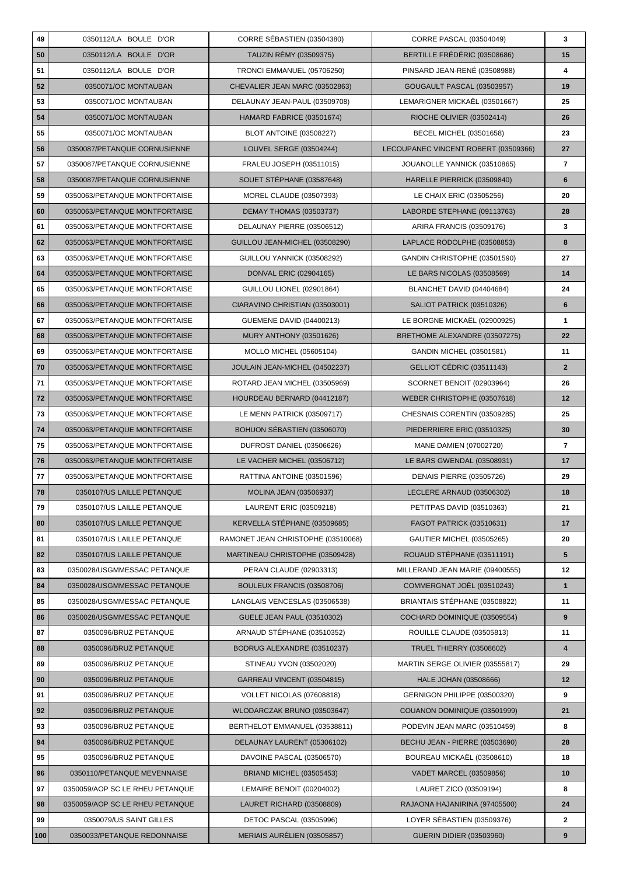| 49  | 0350112/LA BOULE D'OR           | CORRE SÉBASTIEN (03504380)         | CORRE PASCAL (03504049)               | 3              |
|-----|---------------------------------|------------------------------------|---------------------------------------|----------------|
| 50  | 0350112/LA BOULE D'OR           | TAUZIN RÉMY (03509375)             | BERTILLE FRÉDÉRIC (03508686)          | 15             |
| 51  | 0350112/LA BOULE D'OR           | TRONCI EMMANUEL (05706250)         | PINSARD JEAN-RENÉ (03508988)          | 4              |
| 52  | 0350071/OC MONTAUBAN            | CHEVALIER JEAN MARC (03502863)     | GOUGAULT PASCAL (03503957)            | 19             |
| 53  | 0350071/OC MONTAUBAN            | DELAUNAY JEAN-PAUL (03509708)      | LEMARIGNER MICKAEL (03501667)         | 25             |
| 54  | 0350071/OC MONTAUBAN            | HAMARD FABRICE (03501674)          | RIOCHE OLIVIER (03502414)             | 26             |
| 55  | 0350071/OC MONTAUBAN            | <b>BLOT ANTOINE (03508227)</b>     | <b>BECEL MICHEL (03501658)</b>        | 23             |
| 56  | 0350087/PETANQUE CORNUSIENNE    | LOUVEL SERGE (03504244)            | LECOUPANEC VINCENT ROBERT (03509366)  | 27             |
| 57  | 0350087/PETANQUE CORNUSIENNE    | FRALEU JOSEPH (03511015)           | JOUANOLLE YANNICK (03510865)          | 7              |
| 58  | 0350087/PETANQUE CORNUSIENNE    | SOUET STÉPHANE (03587648)          | HARELLE PIERRICK (03509840)           | 6              |
| 59  | 0350063/PETANQUE MONTFORTAISE   | MOREL CLAUDE (03507393)            | LE CHAIX ERIC (03505256)              | 20             |
| 60  | 0350063/PETANQUE MONTFORTAISE   | DEMAY THOMAS (03503737)            | LABORDE STEPHANE (09113763)           | 28             |
| 61  | 0350063/PETANQUE MONTFORTAISE   | DELAUNAY PIERRE (03506512)         | ARIRA FRANCIS (03509176)              | 3              |
| 62  | 0350063/PETANQUE MONTFORTAISE   | GUILLOU JEAN-MICHEL (03508290)     | LAPLACE RODOLPHE (03508853)           | 8              |
| 63  | 0350063/PETANQUE MONTFORTAISE   | GUILLOU YANNICK (03508292)         | GANDIN CHRISTOPHE (03501590)          | 27             |
| 64  | 0350063/PETANQUE MONTFORTAISE   | DONVAL ERIC (02904165)             | LE BARS NICOLAS (03508569)            | 14             |
| 65  | 0350063/PETANQUE MONTFORTAISE   | GUILLOU LIONEL (02901864)          | BLANCHET DAVID (04404684)             | 24             |
| 66  | 0350063/PETANQUE MONTFORTAISE   | CIARAVINO CHRISTIAN (03503001)     | <b>SALIOT PATRICK (03510326)</b>      | 6              |
| 67  | 0350063/PETANQUE MONTFORTAISE   | <b>GUEMENE DAVID (04400213)</b>    | LE BORGNE MICKAËL (02900925)          | 1              |
| 68  | 0350063/PETANQUE MONTFORTAISE   | <b>MURY ANTHONY (03501626)</b>     | BRETHOME ALEXANDRE (03507275)         | 22             |
| 69  | 0350063/PETANQUE MONTFORTAISE   | MOLLO MICHEL (05605104)            | GANDIN MICHEL (03501581)              | 11             |
| 70  | 0350063/PETANQUE MONTFORTAISE   | JOULAIN JEAN-MICHEL (04502237)     | GELLIOT CÉDRIC (03511143)             | $\overline{2}$ |
| 71  | 0350063/PETANQUE MONTFORTAISE   | ROTARD JEAN MICHEL (03505969)      | SCORNET BENOIT (02903964)             | 26             |
| 72  | 0350063/PETANQUE MONTFORTAISE   | HOURDEAU BERNARD (04412187)        | WEBER CHRISTOPHE (03507618)           | 12             |
| 73  | 0350063/PETANQUE MONTFORTAISE   | LE MENN PATRICK (03509717)         | CHESNAIS CORENTIN (03509285)          | 25             |
| 74  | 0350063/PETANQUE MONTFORTAISE   | BOHUON SÉBASTIEN (03506070)        | PIEDERRIERE ERIC (03510325)           | 30             |
| 75  | 0350063/PETANQUE MONTFORTAISE   | DUFROST DANIEL (03506626)          | MANE DAMIEN (07002720)                | 7              |
| 76  | 0350063/PETANQUE MONTFORTAISE   | LE VACHER MICHEL (03506712)        | LE BARS GWENDAL (03508931)            | 17             |
| 77  | 0350063/PETANQUE MONTFORTAISE   | RATTINA ANTOINE (03501596)         | <b>DENAIS PIERRE (03505726)</b>       | 29             |
| 78  | 0350107/US LAILLE PETANQUE      | <b>MOLINA JEAN (03506937)</b>      | LECLERE ARNAUD (03506302)             | 18             |
| 79  | 0350107/US LAILLE PETANQUE      | LAURENT ERIC (03509218)            | PETITPAS DAVID (03510363)             | 21             |
| 80  | 0350107/US LAILLE PETANQUE      | KERVELLA STÉPHANE (03509685)       | FAGOT PATRICK (03510631)              | 17             |
| 81  | 0350107/US LAILLE PETANQUE      | RAMONET JEAN CHRISTOPHE (03510068) | GAUTIER MICHEL (03505265)             | 20             |
| 82  | 0350107/US LAILLE PETANQUE      | MARTINEAU CHRISTOPHE (03509428)    | ROUAUD STÉPHANE (03511191)            | 5              |
| 83  | 0350028/USGMMESSAC PETANQUE     | PERAN CLAUDE (02903313)            | MILLERAND JEAN MARIE (09400555)       | 12             |
| 84  | 0350028/USGMMESSAC PETANQUE     | BOULEUX FRANCIS (03508706)         | COMMERGNAT JOËL (03510243)            | $\mathbf{1}$   |
| 85  | 0350028/USGMMESSAC PETANQUE     | LANGLAIS VENCESLAS (03506538)      | BRIANTAIS STÉPHANE (03508822)         | 11             |
| 86  | 0350028/USGMMESSAC PETANQUE     | <b>GUELE JEAN PAUL (03510302)</b>  | COCHARD DOMINIQUE (03509554)          | 9              |
| 87  | 0350096/BRUZ PETANQUE           | ARNAUD STÉPHANE (03510352)         | ROUILLE CLAUDE (03505813)             | 11             |
| 88  | 0350096/BRUZ PETANQUE           | BODRUG ALEXANDRE (03510237)        | <b>TRUEL THIERRY (03508602)</b>       | 4              |
| 89  | 0350096/BRUZ PETANQUE           | STINEAU YVON (03502020)            | MARTIN SERGE OLIVIER (03555817)       | 29             |
| 90  | 0350096/BRUZ PETANQUE           | GARREAU VINCENT (03504815)         | HALE JOHAN (03508666)                 | 12             |
| 91  | 0350096/BRUZ PETANQUE           | VOLLET NICOLAS (07608818)          | GERNIGON PHILIPPE (03500320)          | 9              |
| 92  | 0350096/BRUZ PETANQUE           | WLODARCZAK BRUNO (03503647)        | COUANON DOMINIQUE (03501999)          | 21             |
| 93  | 0350096/BRUZ PETANQUE           | BERTHELOT EMMANUEL (03538811)      | PODEVIN JEAN MARC (03510459)          | 8              |
| 94  | 0350096/BRUZ PETANQUE           | DELAUNAY LAURENT (05306102)        | <b>BECHU JEAN - PIERRE (03503690)</b> | 28             |
| 95  | 0350096/BRUZ PETANQUE           | DAVOINE PASCAL (03506570)          | BOUREAU MICKAEL (03508610)            | 18             |
| 96  | 0350110/PETANQUE MEVENNAISE     | <b>BRIAND MICHEL (03505453)</b>    | VADET MARCEL (03509856)               | 10             |
| 97  | 0350059/AOP SC LE RHEU PETANQUE | LEMAIRE BENOIT (00204002)          | LAURET ZICO (03509194)                | 8              |
| 98  | 0350059/AOP SC LE RHEU PETANQUE | LAURET RICHARD (03508809)          | RAJAONA HAJANIRINA (97405500)         | 24             |
| 99  | 0350079/US SAINT GILLES         | <b>DETOC PASCAL (03505996)</b>     | LOYER SÉBASTIEN (03509376)            | 2              |
| 100 | 0350033/PETANQUE REDONNAISE     | MERIAIS AURÉLIEN (03505857)        | <b>GUERIN DIDIER (03503960)</b>       | 9              |